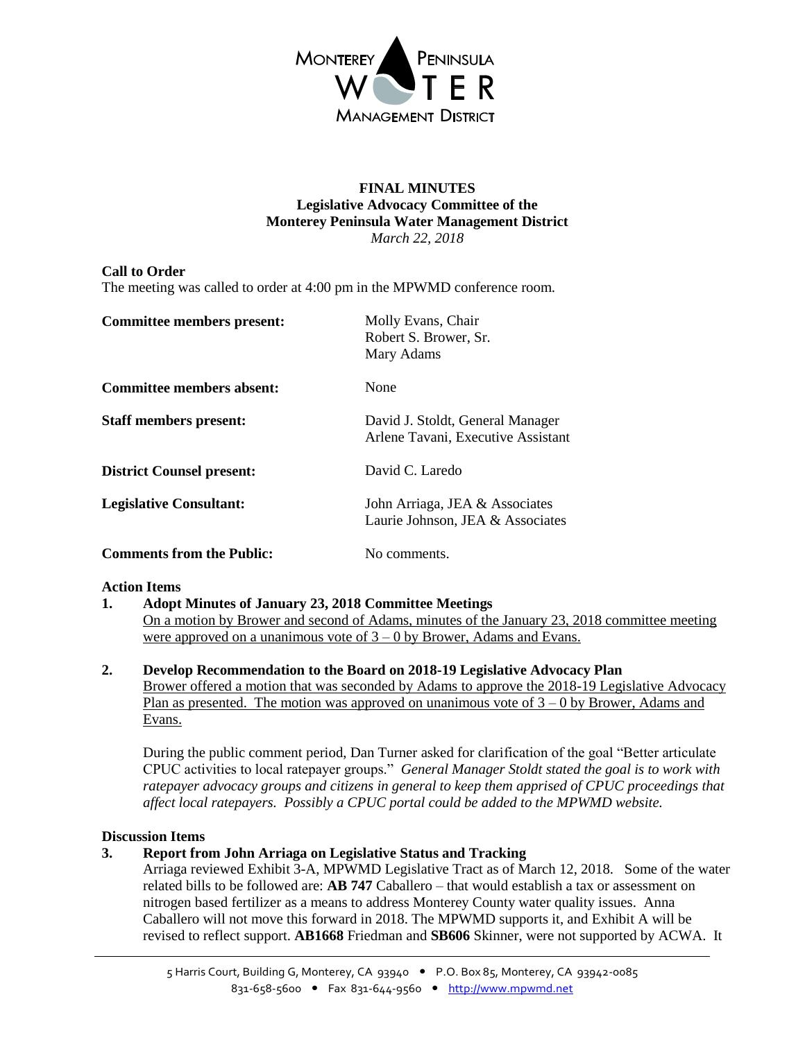

### **FINAL MINUTES Legislative Advocacy Committee of the Monterey Peninsula Water Management District** *March 22, 2018*

# **Call to Order**

The meeting was called to order at 4:00 pm in the MPWMD conference room.

| <b>Committee members present:</b> | Molly Evans, Chair<br>Robert S. Brower, Sr.<br>Mary Adams              |
|-----------------------------------|------------------------------------------------------------------------|
| <b>Committee members absent:</b>  | None                                                                   |
| <b>Staff members present:</b>     | David J. Stoldt, General Manager<br>Arlene Tavani, Executive Assistant |
| <b>District Counsel present:</b>  | David C. Laredo                                                        |
| <b>Legislative Consultant:</b>    | John Arriaga, JEA & Associates<br>Laurie Johnson, JEA & Associates     |
| <b>Comments from the Public:</b>  | No comments.                                                           |

### **Action Items**

**1. Adopt Minutes of January 23, 2018 Committee Meetings**

On a motion by Brower and second of Adams, minutes of the January 23, 2018 committee meeting were approved on a unanimous vote of  $3 - 0$  by Brower, Adams and Evans.

**2. Develop Recommendation to the Board on 2018-19 Legislative Advocacy Plan** Brower offered a motion that was seconded by Adams to approve the 2018-19 Legislative Advocacy Plan as presented. The motion was approved on unanimous vote of  $3 - 0$  by Brower, Adams and Evans.

During the public comment period, Dan Turner asked for clarification of the goal "Better articulate CPUC activities to local ratepayer groups." *General Manager Stoldt stated the goal is to work with ratepayer advocacy groups and citizens in general to keep them apprised of CPUC proceedings that affect local ratepayers. Possibly a CPUC portal could be added to the MPWMD website.*

### **Discussion Items**

### **3. Report from John Arriaga on Legislative Status and Tracking**

Arriaga reviewed Exhibit 3-A, MPWMD Legislative Tract as of March 12, 2018. Some of the water related bills to be followed are: **AB 747** Caballero – that would establish a tax or assessment on nitrogen based fertilizer as a means to address Monterey County water quality issues. Anna Caballero will not move this forward in 2018. The MPWMD supports it, and Exhibit A will be revised to reflect support. **AB1668** Friedman and **SB606** Skinner, were not supported by ACWA. It